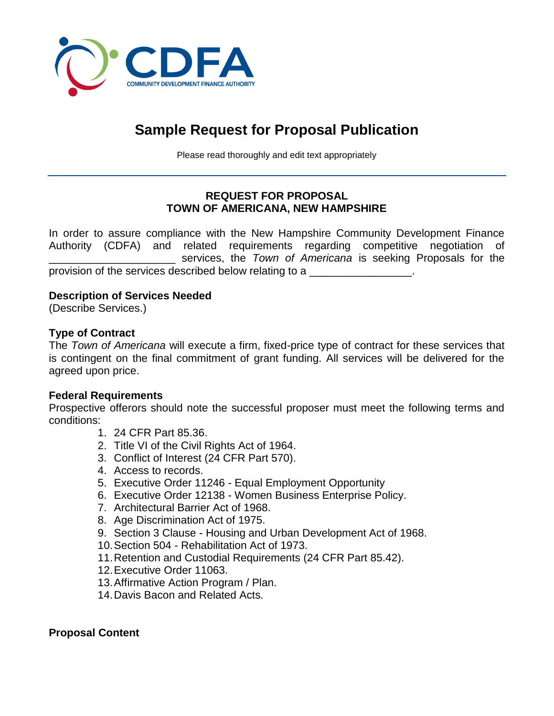

# **Sample Request for Proposal Publication**

Please read thoroughly and edit text appropriately

## **REQUEST FOR PROPOSAL TOWN OF AMERICANA, NEW HAMPSHIRE**

In order to assure compliance with the New Hampshire Community Development Finance Authority (CDFA) and related requirements regarding competitive negotiation of \_\_\_\_\_\_\_\_\_\_\_\_\_\_\_\_\_\_\_\_\_ services, the *Town of Americana* is seeking Proposals for the provision of the services described below relating to a

## **Description of Services Needed**

(Describe Services.)

#### **Type of Contract**

The *Town of Americana* will execute a firm, fixed-price type of contract for these services that is contingent on the final commitment of grant funding. All services will be delivered for the agreed upon price.

#### **Federal Requirements**

Prospective offerors should note the successful proposer must meet the following terms and conditions:

- 1. 24 CFR Part 85.36.
- 2. Title VI of the Civil Rights Act of 1964.
- 3. Conflict of Interest (24 CFR Part 570).
- 4. Access to records.
- 5. Executive Order 11246 Equal Employment Opportunity
- 6. Executive Order 12138 Women Business Enterprise Policy.
- 7. Architectural Barrier Act of 1968.
- 8. Age Discrimination Act of 1975.
- 9. Section 3 Clause Housing and Urban Development Act of 1968.
- 10.Section 504 Rehabilitation Act of 1973.
- 11.Retention and Custodial Requirements (24 CFR Part 85.42).
- 12.Executive Order 11063.
- 13.Affirmative Action Program / Plan.
- 14.Davis Bacon and Related Acts.

#### **Proposal Content**